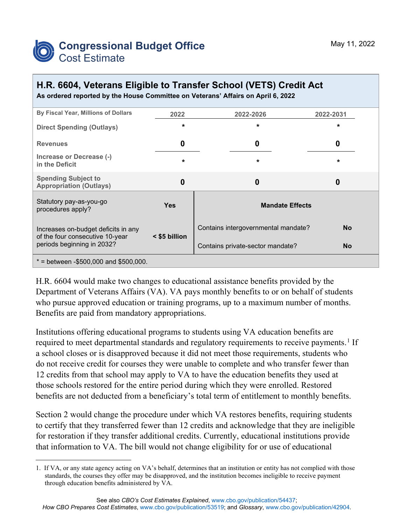

## **H.R. 6604, Veterans Eligible to Transfer School (VETS) Credit Act**

|  |  |  |  | As ordered reported by the House Committee on Veterans' Affairs on April 6, 2022 |
|--|--|--|--|----------------------------------------------------------------------------------|
|--|--|--|--|----------------------------------------------------------------------------------|

| By Fiscal Year, Millions of Dollars                                    | 2022          | 2022-2026                           | 2022-2031 |
|------------------------------------------------------------------------|---------------|-------------------------------------|-----------|
| <b>Direct Spending (Outlays)</b>                                       | $\star$       | $\star$                             | $\star$   |
| <b>Revenues</b>                                                        | 0             | 0                                   | 0         |
| Increase or Decrease (-)<br>in the Deficit                             | $\star$       | $\star$                             | $\star$   |
| <b>Spending Subject to</b><br><b>Appropriation (Outlays)</b>           | 0             | 0                                   | 0         |
| Statutory pay-as-you-go<br>procedures apply?                           | <b>Yes</b>    | <b>Mandate Effects</b>              |           |
| Increases on-budget deficits in any<br>of the four consecutive 10-year | < \$5 billion | Contains intergovernmental mandate? | <b>No</b> |
| periods beginning in 2032?                                             |               | Contains private-sector mandate?    | <b>No</b> |
| $*$ = between -\$500,000 and \$500,000.                                |               |                                     |           |

H.R. 6604 would make two changes to educational assistance benefits provided by the Department of Veterans Affairs (VA). VA pays monthly benefits to or on behalf of students who pursue approved education or training programs, up to a maximum number of months. Benefits are paid from mandatory appropriations.

Institutions offering educational programs to students using VA education benefits are required to meet departmental standards and regulatory requirements to receive payments.<sup>[1](#page-0-0)</sup> If a school closes or is disapproved because it did not meet those requirements, students who do not receive credit for courses they were unable to complete and who transfer fewer than 12 credits from that school may apply to VA to have the education benefits they used at those schools restored for the entire period during which they were enrolled. Restored benefits are not deducted from a beneficiary's total term of entitlement to monthly benefits.

Section 2 would change the procedure under which VA restores benefits, requiring students to certify that they transferred fewer than 12 credits and acknowledge that they are ineligible for restoration if they transfer additional credits. Currently, educational institutions provide that information to VA. The bill would not change eligibility for or use of educational

<span id="page-0-0"></span><sup>1.</sup> If VA, or any state agency acting on VA's behalf, determines that an institution or entity has not complied with those standards, the courses they offer may be disapproved, and the institution becomes ineligible to receive payment through education benefits administered by VA.